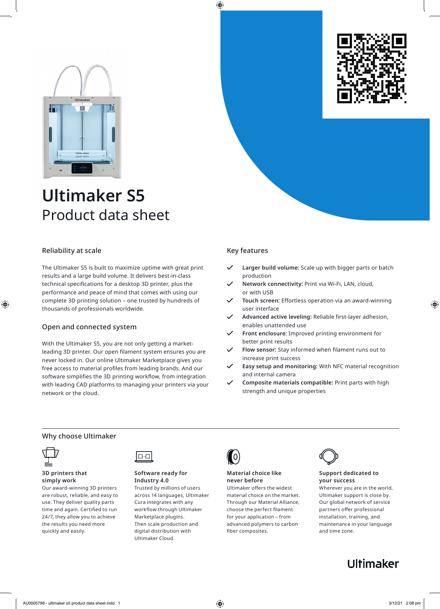



# Reliability at scale

The Ultimaker S5 is built to maximize uptime with great print results and a large build volume. It delivers best-in-class technical specifications for a desktop 3D printer, plus the performance and peace of mind that comes with using our complete 3D printing solution – one trusted by hundreds of thousands of professionals worldwide.

# Open and connected system

With the Ultimaker S5, you are not only getting a marketleading 3D printer. Our open filament system ensures you are never locked in. Our online Ultimaker Marketplace gives you free access to material profiles from leading brands. And our software simplifies the 3D printing workflow, from integration with leading CAD platforms to managing your printers via your network or the cloud.

# Key features

- **Larger build volume:** Scale up with bigger parts or batch production
- **Network connectivity:** Print via Wi-Fi, LAN, cloud, or with USB
- **Touch screen:** Effortless operation via an award-winning user interface
- Advanced active leveling: Reliable first-layer adhesion, enables unattended use
- **Front enclosure:** Improved printing environment for better print results
- Flow sensor: Stay informed when filament runs out to increase print success
- **Easy setup and monitoring:** With NFC material recognition and internal camera
- **Composite materials compatible:** Print parts with high strength and unique properties

# Why choose Ultimaker



#### **3D printers that simply work**

Our award-winning 3D printers are robust, reliable, and easy to use. They deliver quality parts time and again. Certified to run 24/7, they allow you to achieve the results you need more quickly and easily.



### **Software ready for Industry 4.0**

Trusted by millions of users across 14 languages, Ultimaker Cura integrates with any workflow through Ultimaker Marketplace plugins. Then scale production and digital distribution with Ultimaker Cloud.



# **Material choice like never before**

Ultimaker offers the widest material choice on the market. Through our Material Alliance, choose the perfect filament for your application – from advanced polymers to carbon fiber composites.



### **Support dedicated to your success**

Wherever you are in the world, Ultimaker support is close by. Our global network of service partners offer professional installation, training, and maintenance in your language and time zone.